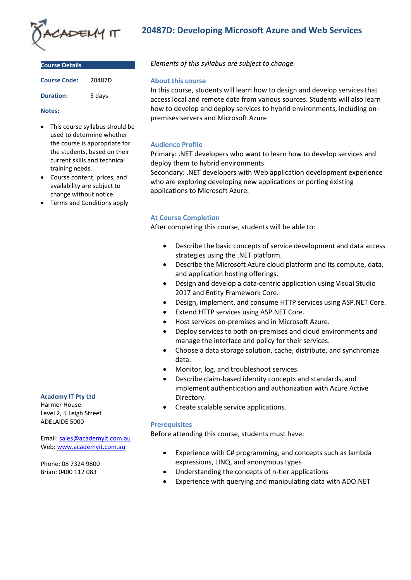

**Course Details**

| <b>COULSE DETAILS</b> |        |
|-----------------------|--------|
| <b>Course Code:</b>   | 20487D |
| <b>Duration:</b>      | 5 days |

#### **Notes:**

- This course syllabus should be used to determine whether the course is appropriate for the students, based on their current skills and technical training needs.
- Course content, prices, and availability are subject to change without notice.
- Terms and Conditions apply

# **20487D: Developing Microsoft Azure and Web Services**

*Elements of this syllabus are subject to change.*

#### **About this course**

In this course, students will learn how to design and develop services that access local and remote data from various sources. Students will also learn how to develop and deploy services to hybrid environments, including onpremises servers and Microsoft Azure

### **Audience Profile**

Primary: .NET developers who want to learn how to develop services and deploy them to hybrid environments.

Secondary: .NET developers with Web application development experience who are exploring developing new applications or porting existing applications to Microsoft Azure.

# **At Course Completion**

After completing this course, students will be able to:

- Describe the basic concepts of service development and data access strategies using the .NET platform.
- Describe the Microsoft Azure cloud platform and its compute, data, and application hosting offerings.
- Design and develop a data-centric application using Visual Studio 2017 and Entity Framework Core.
- Design, implement, and consume HTTP services using ASP.NET Core.
- Extend HTTP services using ASP.NET Core.
- Host services on-premises and in Microsoft Azure.
- Deploy services to both on-premises and cloud environments and manage the interface and policy for their services.
- Choose a data storage solution, cache, distribute, and synchronize data.
- Monitor, log, and troubleshoot services.
- Describe claim-based identity concepts and standards, and implement authentication and authorization with Azure Active Directory.
- Create scalable service applications.

### **Prerequisites**

Before attending this course, students must have:

- Experience with C# programming, and concepts such as lambda expressions, LINQ, and anonymous types
- Understanding the concepts of n-tier applications
- Experience with querying and manipulating data with ADO.NET

#### **Academy IT Pty Ltd**

Harmer House Level 2, 5 Leigh Street ADELAIDE 5000

Email: [sales@academyit.com.au](mailto:sales@academyit.com.au) Web: [www.academyit.com.au](http://www.academyit.com.au/)

Phone: 08 7324 9800 Brian: 0400 112 083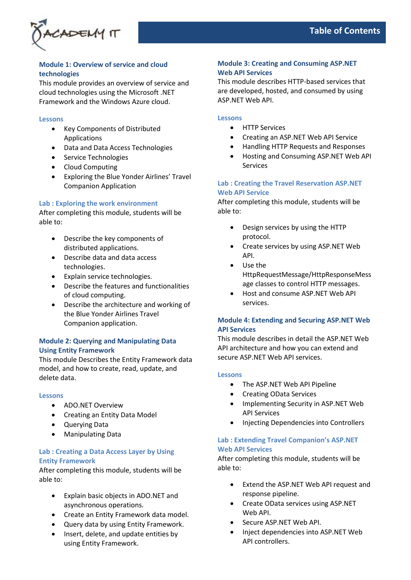

# **Module 1: Overview of service and cloud technologies**

This module provides an overview of service and cloud technologies using the Microsoft .NET Framework and the Windows Azure cloud.

### **Lessons**

- Key Components of Distributed Applications
- Data and Data Access Technologies
- Service Technologies
- Cloud Computing
- Exploring the Blue Yonder Airlines' Travel Companion Application

### **Lab : Exploring the work environment**

After completing this module, students will be able to:

- Describe the key components of distributed applications.
- Describe data and data access technologies.
- Explain service technologies.
- Describe the features and functionalities of cloud computing.
- Describe the architecture and working of the Blue Yonder Airlines Travel Companion application.

### **Module 2: Querying and Manipulating Data Using Entity Framework**

This module Describes the Entity Framework data model, and how to create, read, update, and delete data.

### **Lessons**

- ADO.NET Overview
- Creating an Entity Data Model
- Querying Data
- Manipulating Data

# **Lab : Creating a Data Access Layer by Using Entity Framework**

After completing this module, students will be able to:

- Explain basic objects in ADO.NET and asynchronous operations.
- Create an Entity Framework data model.
- Query data by using Entity Framework.
- Insert, delete, and update entities by using Entity Framework.

### **Module 3: Creating and Consuming ASP.NET Web API Services**

This module describes HTTP-based services that are developed, hosted, and consumed by using ASP.NET Web API.

### **Lessons**

- HTTP Services
- Creating an ASP.NET Web API Service
- Handling HTTP Requests and Responses
- Hosting and Consuming ASP.NET Web API Services

### **Lab : Creating the Travel Reservation ASP.NET Web API Service**

After completing this module, students will be able to:

- Design services by using the HTTP protocol.
- Create services by using ASP.NET Web API.
- Use the HttpRequestMessage/HttpResponseMess age classes to control HTTP messages.
- Host and consume ASP.NET Web API services.

# **Module 4: Extending and Securing ASP.NET Web API Services**

This module describes in detail the ASP.NET Web API architecture and how you can extend and secure ASP.NET Web API services.

### **Lessons**

- The ASP.NET Web API Pipeline
- Creating OData Services
- Implementing Security in ASP.NET Web API Services
- Injecting Dependencies into Controllers

### **Lab : Extending Travel Companion's ASP.NET Web API Services**

After completing this module, students will be able to:

- Extend the ASP.NET Web API request and response pipeline.
- Create OData services using ASP.NET Web API.
- Secure ASP.NET Web API.
- Inject dependencies into ASP.NET Web API controllers.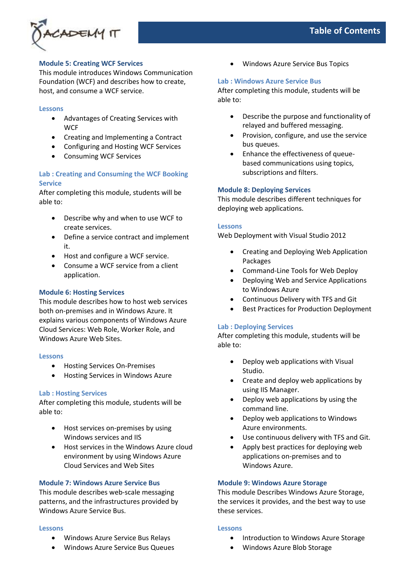

### **Module 5: Creating WCF Services**

This module introduces Windows Communication Foundation (WCF) and describes how to create, host, and consume a WCF service.

#### **Lessons**

- Advantages of Creating Services with **WCF**
- Creating and Implementing a Contract
- Configuring and Hosting WCF Services
- Consuming WCF Services

# **Lab : Creating and Consuming the WCF Booking Service**

After completing this module, students will be able to:

- Describe why and when to use WCF to create services.
- Define a service contract and implement it.
- Host and configure a WCF service.
- Consume a WCF service from a client application.

### **Module 6: Hosting Services**

This module describes how to host web services both on-premises and in Windows Azure. It explains various components of Windows Azure Cloud Services: Web Role, Worker Role, and Windows Azure Web Sites.

#### **Lessons**

- Hosting Services On-Premises
- Hosting Services in Windows Azure

### **Lab : Hosting Services**

After completing this module, students will be able to:

- Host services on-premises by using Windows services and IIS
- Host services in the Windows Azure cloud environment by using Windows Azure Cloud Services and Web Sites

### **Module 7: Windows Azure Service Bus**

This module describes web-scale messaging patterns, and the infrastructures provided by Windows Azure Service Bus.

#### **Lessons**

- Windows Azure Service Bus Relays
- Windows Azure Service Bus Queues

• Windows Azure Service Bus Topics

### **Lab : Windows Azure Service Bus**

After completing this module, students will be able to:

- Describe the purpose and functionality of relayed and buffered messaging.
- Provision, configure, and use the service bus queues.
- Enhance the effectiveness of queuebased communications using topics, subscriptions and filters.

### **Module 8: Deploying Services**

This module describes different techniques for deploying web applications.

### **Lessons**

Web Deployment with Visual Studio 2012

- Creating and Deploying Web Application Packages
- Command-Line Tools for Web Deploy
- Deploying Web and Service Applications to Windows Azure
- Continuous Delivery with TFS and Git
- Best Practices for Production Deployment

### **Lab : Deploying Services**

After completing this module, students will be able to:

- Deploy web applications with Visual Studio.
- Create and deploy web applications by using IIS Manager.
- Deploy web applications by using the command line.
- Deploy web applications to Windows Azure environments.
- Use continuous delivery with TFS and Git.
- Apply best practices for deploying web applications on-premises and to Windows Azure.

### **Module 9: Windows Azure Storage**

This module Describes Windows Azure Storage, the services it provides, and the best way to use these services.

#### **Lessons**

- Introduction to Windows Azure Storage
- Windows Azure Blob Storage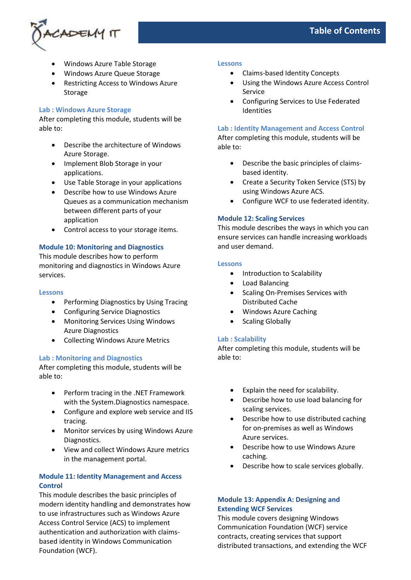

- Windows Azure Table Storage
- Windows Azure Queue Storage
- Restricting Access to Windows Azure Storage

### **Lab : Windows Azure Storage**

After completing this module, students will be able to:

- Describe the architecture of Windows Azure Storage.
- Implement Blob Storage in your applications.
- Use Table Storage in your applications
- Describe how to use Windows Azure Queues as a communication mechanism between different parts of your application
- Control access to your storage items.

### **Module 10: Monitoring and Diagnostics**

This module describes how to perform monitoring and diagnostics in Windows Azure services.

#### **Lessons**

- Performing Diagnostics by Using Tracing
- Configuring Service Diagnostics
- Monitoring Services Using Windows Azure Diagnostics
- Collecting Windows Azure Metrics

#### **Lab : Monitoring and Diagnostics**

After completing this module, students will be able to:

- Perform tracing in the .NET Framework with the System.Diagnostics namespace.
- Configure and explore web service and IIS tracing.
- Monitor services by using Windows Azure Diagnostics.
- View and collect Windows Azure metrics in the management portal.

# **Module 11: Identity Management and Access Control**

This module describes the basic principles of modern identity handling and demonstrates how to use infrastructures such as Windows Azure Access Control Service (ACS) to implement authentication and authorization with claimsbased identity in Windows Communication Foundation (WCF).

#### **Lessons**

- Claims-based Identity Concepts
- Using the Windows Azure Access Control Service
- Configuring Services to Use Federated Identities

### **Lab : Identity Management and Access Control**

After completing this module, students will be able to:

- Describe the basic principles of claimsbased identity.
- Create a Security Token Service (STS) by using Windows Azure ACS.
- Configure WCF to use federated identity.

### **Module 12: Scaling Services**

This module describes the ways in which you can ensure services can handle increasing workloads and user demand.

### **Lessons**

- Introduction to Scalability
- Load Balancing
- Scaling On-Premises Services with Distributed Cache
- Windows Azure Caching
- Scaling Globally

### **Lab : Scalability**

After completing this module, students will be able to:

- Explain the need for scalability.
- Describe how to use load balancing for scaling services.
- Describe how to use distributed caching for on-premises as well as Windows Azure services.
- Describe how to use Windows Azure caching.
- Describe how to scale services globally.

# **Module 13: Appendix A: Designing and Extending WCF Services**

This module covers designing Windows Communication Foundation (WCF) service contracts, creating services that support distributed transactions, and extending the WCF